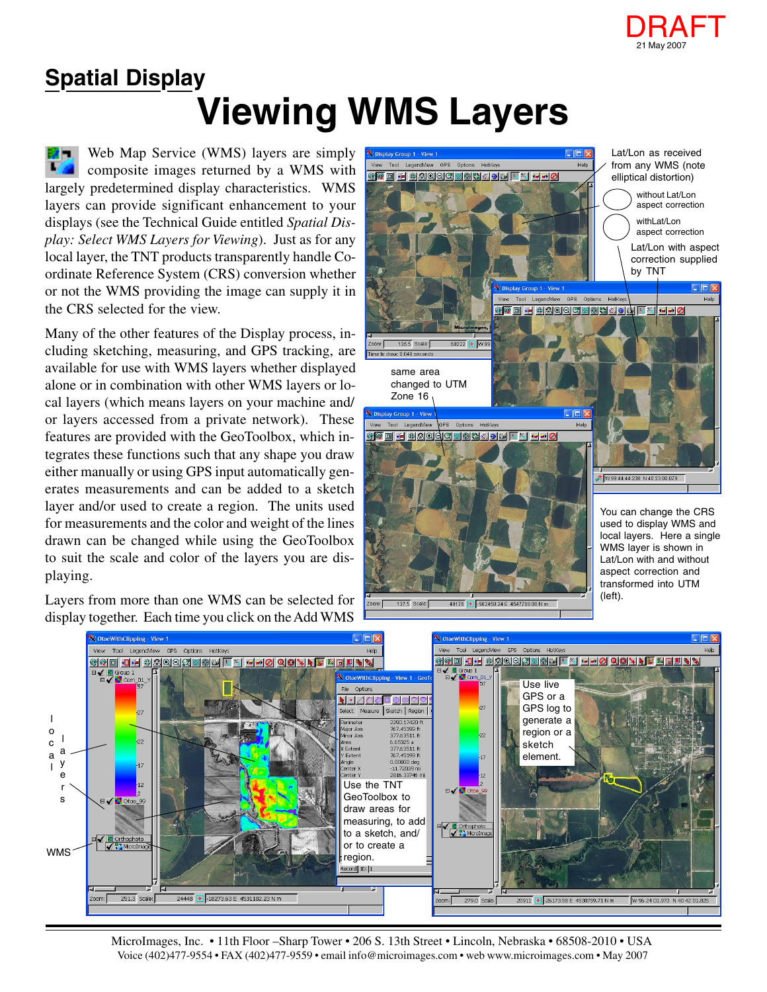

## **Viewing WMS Layers Spatial Display**

Web Map Service (WMS) layers are simply composite images returned by a WMS with largely predetermined display characteristics. WMS layers can provide significant enhancement to your displays (see the Technical Guide entitled *Spatial Display: Select WMS Layers for Viewing*). Just as for any local layer, the TNT products transparently handle Coordinate Reference System (CRS) conversion whether or not the WMS providing the image can supply it in the CRS selected for the view.

Many of the other features of the Display process, including sketching, measuring, and GPS tracking, are available for use with WMS layers whether displayed alone or in combination with other WMS layers or local layers (which means layers on your machine and/ or layers accessed from a private network). These features are provided with the GeoToolbox, which integrates these functions such that any shape you draw either manually or using GPS input automatically generates measurements and can be added to a sketch layer and/or used to create a region. The units used for measurements and the color and weight of the lines drawn can be changed while using the GeoToolbox to suit the scale and color of the layers you are displaying.

Layers from more than one WMS can be selected for display together. Each time you click on the Add WMS





137.5 Scale:

48176 0 582458.24 E 4547708.00 N m

MicroImages, Inc. • 11th Floor –Sharp Tower • 206 S. 13th Street • Lincoln, Nebraska • 68508-2010 • USA Voice (402)477-9554 • FAX (402)477-9559 • email info@microimages.com • web www.microimages.com • May 2007